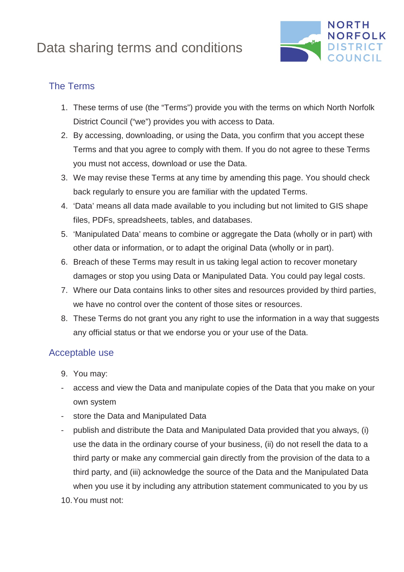# Data sharing terms and conditions



# The Terms

- 1. These terms of use (the "Terms") provide you with the terms on which North Norfolk District Council ("we") provides you with access to Data.
- 2. By accessing, downloading, or using the Data, you confirm that you accept these Terms and that you agree to comply with them. If you do not agree to these Terms you must not access, download or use the Data.
- 3. We may revise these Terms at any time by amending this page. You should check back regularly to ensure you are familiar with the updated Terms.
- 4. 'Data' means all data made available to you including but not limited to GIS shape files, PDFs, spreadsheets, tables, and databases.
- 5. 'Manipulated Data' means to combine or aggregate the Data (wholly or in part) with other data or information, or to adapt the original Data (wholly or in part).
- 6. Breach of these Terms may result in us taking legal action to recover monetary damages or stop you using Data or Manipulated Data. You could pay legal costs.
- 7. Where our Data contains links to other sites and resources provided by third parties, we have no control over the content of those sites or resources.
- 8. These Terms do not grant you any right to use the information in a way that suggests any official status or that we endorse you or your use of the Data.

## Acceptable use

- 9. You may:
- access and view the Data and manipulate copies of the Data that you make on your own system
- store the Data and Manipulated Data
- publish and distribute the Data and Manipulated Data provided that you always, (i) use the data in the ordinary course of your business, (ii) do not resell the data to a third party or make any commercial gain directly from the provision of the data to a third party, and (iii) acknowledge the source of the Data and the Manipulated Data when you use it by including any attribution statement communicated to you by us 10.You must not: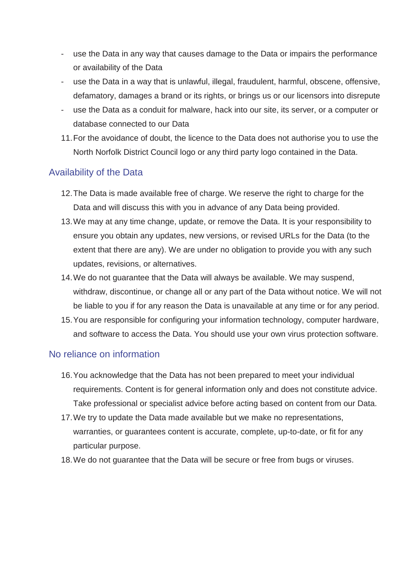- use the Data in any way that causes damage to the Data or impairs the performance or availability of the Data
- use the Data in a way that is unlawful, illegal, fraudulent, harmful, obscene, offensive, defamatory, damages a brand or its rights, or brings us or our licensors into disrepute
- use the Data as a conduit for malware, hack into our site, its server, or a computer or database connected to our Data
- 11.For the avoidance of doubt, the licence to the Data does not authorise you to use the North Norfolk District Council logo or any third party logo contained in the Data.

## Availability of the Data

- 12.The Data is made available free of charge. We reserve the right to charge for the Data and will discuss this with you in advance of any Data being provided.
- 13.We may at any time change, update, or remove the Data. It is your responsibility to ensure you obtain any updates, new versions, or revised URLs for the Data (to the extent that there are any). We are under no obligation to provide you with any such updates, revisions, or alternatives.
- 14.We do not guarantee that the Data will always be available. We may suspend, withdraw, discontinue, or change all or any part of the Data without notice. We will not be liable to you if for any reason the Data is unavailable at any time or for any period.
- 15.You are responsible for configuring your information technology, computer hardware, and software to access the Data. You should use your own virus protection software.

## No reliance on information

- 16.You acknowledge that the Data has not been prepared to meet your individual requirements. Content is for general information only and does not constitute advice. Take professional or specialist advice before acting based on content from our Data.
- 17.We try to update the Data made available but we make no representations, warranties, or guarantees content is accurate, complete, up-to-date, or fit for any particular purpose.
- 18.We do not guarantee that the Data will be secure or free from bugs or viruses.